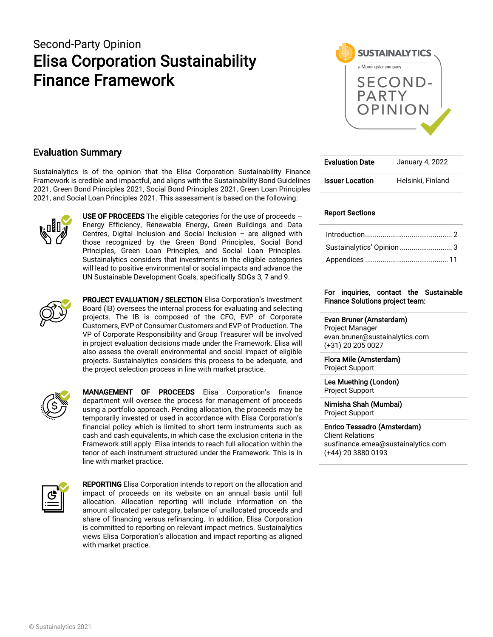# Second-Party Opinion Elisa Corporation Sustainability Finance Framework



### Evaluation Summary

Sustainalytics is of the opinion that the Elisa Corporation Sustainability Finance Framework is credible and impactful, and aligns with the Sustainability Bond Guidelines 2021, Green Bond Principles 2021, Social Bond Principles 2021, Green Loan Principles 2021, and Social Loan Principles 2021. This assessment is based on the following:



USE OF PROCEEDS The eligible categories for the use of proceeds  $-$ Energy Efficiency, Renewable Energy, Green Buildings and Data Centres, Digital Inclusion and Social Inclusion – are aligned with those recognized by the Green Bond Principles, Social Bond Principles, Green Loan Principles, and Social Loan Principles. Sustainalytics considers that investments in the eligible categories will lead to positive environmental or social impacts and advance the UN Sustainable Development Goals, specifically SDGs 3, 7 and 9.



PROJECT EVALUATION / SELECTION Elisa Corporation's Investment Board (IB) oversees the internal process for evaluating and selecting projects. The IB is composed of the CFO, EVP of Corporate Customers, EVP of Consumer Customers and EVP of Production. The VP of Corporate Responsibility and Group Treasurer will be involved in project evaluation decisions made under the Framework. Elisa will also assess the overall environmental and social impact of eligible projects. Sustainalytics considers this process to be adequate, and the project selection process in line with market practice.



**MANAGEMENT OF PROCEEDS** Elisa Corporation's finance department will oversee the process for management of proceeds using a portfolio approach. Pending allocation, the proceeds may be temporarily invested or used in accordance with Elisa Corporation's financial policy which is limited to short term instruments such as cash and cash equivalents, in which case the exclusion criteria in the Framework still apply. Elisa intends to reach full allocation within the tenor of each instrument structured under the Framework. This is in line with market practice.



**REPORTING** Elisa Corporation intends to report on the allocation and impact of proceeds on its website on an annual basis until full allocation. Allocation reporting will include information on the amount allocated per category, balance of unallocated proceeds and share of financing versus refinancing. In addition, Elisa Corporation is committed to reporting on relevant impact metrics. Sustainalytics views Elisa Corporation's allocation and impact reporting as aligned with market practice.

| <b>Evaluation Date</b> | January 4, 2022   |
|------------------------|-------------------|
| <b>Issuer Location</b> | Helsinki, Finland |

#### Report Sections

| Sustainalytics' Opinion  3 |
|----------------------------|
|                            |

#### For inquiries, contact the Sustainable Finance Solutions project team:

Evan Bruner (Amsterdam) Project Manager evan.bruner@sustainalytics.com (+31) 20 205 0027

Flora Mile (Amsterdam) Project Support

Lea Muething (London) Project Support

Nimisha Shah (Mumbai) Project Support

Enrico Tessadro (Amsterdam) Client Relations susfinance.emea@sustainalytics.com (+44) 20 3880 0193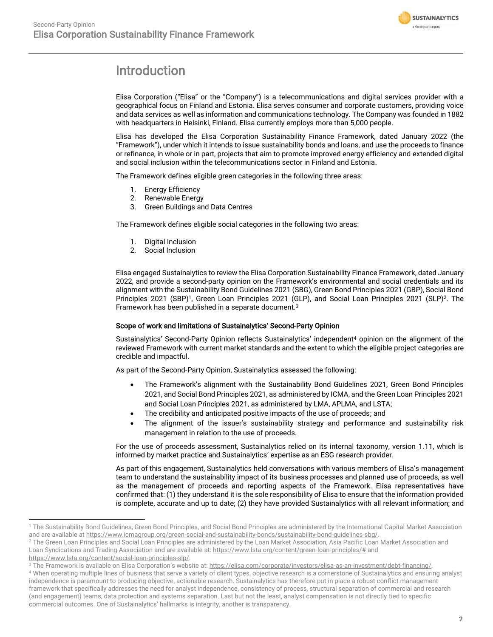

# <span id="page-1-0"></span>Introduction

Elisa Corporation ("Elisa" or the "Company") is a telecommunications and digital services provider with a geographical focus on Finland and Estonia. Elisa serves consumer and corporate customers, providing voice and data services as well as information and communications technology. The Company was founded in 1882 with headquarters in Helsinki, Finland. Elisa currently employs more than 5,000 people.

Elisa has developed the Elisa Corporation Sustainability Finance Framework, dated January 2022 (the "Framework"), under which it intends to issue sustainability bonds and loans, and use the proceeds to finance or refinance, in whole or in part, projects that aim to promote improved energy efficiency and extended digital and social inclusion within the telecommunications sector in Finland and Estonia.

The Framework defines eligible green categories in the following three areas:

- 1. Energy Efficiency
- 2. Renewable Energy
- 3. Green Buildings and Data Centres

The Framework defines eligible social categories in the following two areas:

- 1. Digital Inclusion
- 2. Social Inclusion

Elisa engaged Sustainalytics to review the Elisa Corporation Sustainability Finance Framework, dated January 2022, and provide a second-party opinion on the Framework's environmental and social credentials and its alignment with the Sustainability Bond Guidelines 2021 (SBG), Green Bond Principles 2021 (GBP), Social Bond Principles 2021 (SBP)<sup>1</sup>, Green Loan Principles 2021 (GLP), and Social Loan Principles 2021 (SLP)<sup>2</sup>. The Framework has been published in a separate document.<sup>3</sup>

#### Scope of work and limitations of Sustainalytics' Second-Party Opinion

Sustainalytics' Second-Party Opinion reflects Sustainalytics' independent<sup>4</sup> opinion on the alignment of the reviewed Framework with current market standards and the extent to which the eligible project categories are credible and impactful.

As part of the Second-Party Opinion, Sustainalytics assessed the following:

- The Framework's alignment with the Sustainability Bond Guidelines 2021, Green Bond Principles 2021, and Social Bond Principles 2021, as administered by ICMA, and the Green Loan Principles 2021 and Social Loan Principles 2021, as administered by LMA, APLMA, and LSTA;
- The credibility and anticipated positive impacts of the use of proceeds; and
- The alignment of the issuer's sustainability strategy and performance and sustainability risk management in relation to the use of proceeds.

For the use of proceeds assessment, Sustainalytics relied on its internal taxonomy, version 1.11, which is informed by market practice and Sustainalytics' expertise as an ESG research provider.

As part of this engagement, Sustainalytics held conversations with various members of Elisa's management team to understand the sustainability impact of its business processes and planned use of proceeds, as well as the management of proceeds and reporting aspects of the Framework. Elisa representatives have confirmed that: (1) they understand it is the sole responsibility of Elisa to ensure that the information provided is complete, accurate and up to date; (2) they have provided Sustainalytics with all relevant information; and

<sup>&</sup>lt;sup>1</sup> The Sustainability Bond Guidelines, Green Bond Principles, and Social Bond Principles are administered by the International Capital Market Association and are available a[t https://www.icmagroup.org/green-social-and-sustainability-bonds/sustainability-bond-guidelines-sbg/.](https://www.icmagroup.org/green-social-and-sustainability-bonds/sustainability-bond-guidelines-sbg/)

<sup>&</sup>lt;sup>2</sup> The Green Loan Principles and Social Loan Principles are administered by the Loan Market Association, Asia Pacific Loan Market Association and Loan Syndications and Trading Association and are available at[: https://www.lsta.org/content/green-loan-principles/#](https://www.lsta.org/content/green-loan-principles/) and

[https://www.lsta.org/content/social-loan-principles-slp/.](https://www.lsta.org/content/social-loan-principles-slp/)

<sup>&</sup>lt;sup>3</sup> The Framework is available on Elisa Corporation's website at[: https://elisa.com/corporate/investors/elisa-as-an-investment/debt-financing/.](https://elisa.com/corporate/investors/elisa-as-an-investment/debt-financing/)

<sup>4</sup> When operating multiple lines of business that serve a variety of client types, objective research is a cornerstone of Sustainalytics and ensuring analyst independence is paramount to producing objective, actionable research. Sustainalytics has therefore put in place a robust conflict management framework that specifically addresses the need for analyst independence, consistency of process, structural separation of commercial and research (and engagement) teams, data protection and systems separation. Last but not the least, analyst compensation is not directly tied to specific commercial outcomes. One of Sustainalytics' hallmarks is integrity, another is transparency.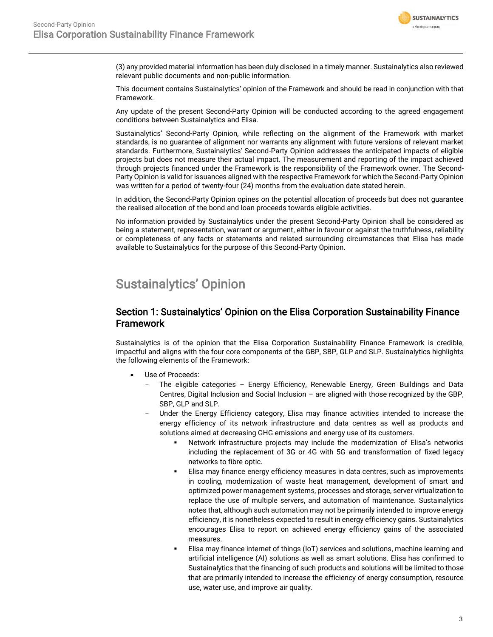

(3) any provided material information has been duly disclosed in a timely manner. Sustainalytics also reviewed relevant public documents and non-public information.

This document contains Sustainalytics' opinion of the Framework and should be read in conjunction with that Framework.

Any update of the present Second-Party Opinion will be conducted according to the agreed engagement conditions between Sustainalytics and Elisa.

Sustainalytics' Second-Party Opinion, while reflecting on the alignment of the Framework with market standards, is no guarantee of alignment nor warrants any alignment with future versions of relevant market standards. Furthermore, Sustainalytics' Second-Party Opinion addresses the anticipated impacts of eligible projects but does not measure their actual impact. The measurement and reporting of the impact achieved through projects financed under the Framework is the responsibility of the Framework owner. The Second-Party Opinion is valid for issuances aligned with the respective Framework for which the Second-Party Opinion was written for a period of twenty-four (24) months from the evaluation date stated herein.

In addition, the Second-Party Opinion opines on the potential allocation of proceeds but does not guarantee the realised allocation of the bond and loan proceeds towards eligible activities.

No information provided by Sustainalytics under the present Second-Party Opinion shall be considered as being a statement, representation, warrant or argument, either in favour or against the truthfulness, reliability or completeness of any facts or statements and related surrounding circumstances that Elisa has made available to Sustainalytics for the purpose of this Second-Party Opinion.

## <span id="page-2-0"></span>Sustainalytics' Opinion

#### Section 1: Sustainalytics' Opinion on the Elisa Corporation Sustainability Finance Framework

Sustainalytics is of the opinion that the Elisa Corporation Sustainability Finance Framework is credible, impactful and aligns with the four core components of the GBP, SBP, GLP and SLP. Sustainalytics highlights the following elements of the Framework:

- Use of Proceeds:
	- The eligible categories Energy Efficiency, Renewable Energy, Green Buildings and Data Centres, Digital Inclusion and Social Inclusion – are aligned with those recognized by the GBP, SBP, GLP and SLP.
	- Under the Energy Efficiency category, Elisa may finance activities intended to increase the energy efficiency of its network infrastructure and data centres as well as products and solutions aimed at decreasing GHG emissions and energy use of its customers.
		- Network infrastructure projects may include the modernization of Elisa's networks including the replacement of 3G or 4G with 5G and transformation of fixed legacy networks to fibre optic.
		- Elisa may finance energy efficiency measures in data centres, such as improvements in cooling, modernization of waste heat management, development of smart and optimized power management systems, processes and storage, server virtualization to replace the use of multiple servers, and automation of maintenance. Sustainalytics notes that, although such automation may not be primarily intended to improve energy efficiency, it is nonetheless expected to result in energy efficiency gains. Sustainalytics encourages Elisa to report on achieved energy efficiency gains of the associated measures.
		- Elisa may finance internet of things (IoT) services and solutions, machine learning and artificial intelligence (AI) solutions as well as smart solutions. Elisa has confirmed to Sustainalytics that the financing of such products and solutions will be limited to those that are primarily intended to increase the efficiency of energy consumption, resource use, water use, and improve air quality.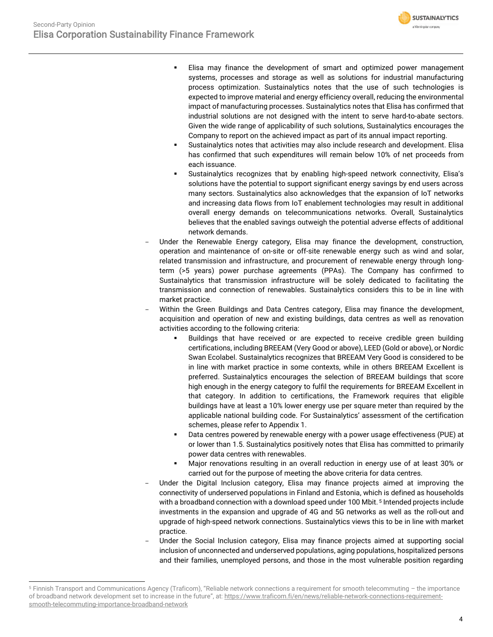- **SUSTAINALYTICS** a Morningstar company
- Elisa may finance the development of smart and optimized power management systems, processes and storage as well as solutions for industrial manufacturing process optimization. Sustainalytics notes that the use of such technologies is expected to improve material and energy efficiency overall, reducing the environmental impact of manufacturing processes. Sustainalytics notes that Elisa has confirmed that industrial solutions are not designed with the intent to serve hard-to-abate sectors. Given the wide range of applicability of such solutions, Sustainalytics encourages the Company to report on the achieved impact as part of its annual impact reporting.
- Sustainalytics notes that activities may also include research and development. Elisa has confirmed that such expenditures will remain below 10% of net proceeds from each issuance.
- Sustainalytics recognizes that by enabling high-speed network connectivity, Elisa's solutions have the potential to support significant energy savings by end users across many sectors. Sustainalytics also acknowledges that the expansion of IoT networks and increasing data flows from IoT enablement technologies may result in additional overall energy demands on telecommunications networks. Overall, Sustainalytics believes that the enabled savings outweigh the potential adverse effects of additional network demands.
- Under the Renewable Energy category, Elisa may finance the development, construction, operation and maintenance of on-site or off-site renewable energy such as wind and solar, related transmission and infrastructure, and procurement of renewable energy through longterm (>5 years) power purchase agreements (PPAs). The Company has confirmed to Sustainalytics that transmission infrastructure will be solely dedicated to facilitating the transmission and connection of renewables. Sustainalytics considers this to be in line with market practice.
- Within the Green Buildings and Data Centres category, Elisa may finance the development, acquisition and operation of new and existing buildings, data centres as well as renovation activities according to the following criteria:
	- Buildings that have received or are expected to receive credible green building certifications, including BREEAM (Very Good or above), LEED (Gold or above), or Nordic Swan Ecolabel. Sustainalytics recognizes that BREEAM Very Good is considered to be in line with market practice in some contexts, while in others BREEAM Excellent is preferred. Sustainalytics encourages the selection of BREEAM buildings that score high enough in the energy category to fulfil the requirements for BREEAM Excellent in that category. In addition to certifications, the Framework requires that eligible buildings have at least a 10% lower energy use per square meter than required by the applicable national building code. For Sustainalytics' assessment of the certification schemes, please refer to Appendix 1.
	- Data centres powered by renewable energy with a power usage effectiveness (PUE) at or lower than 1.5. Sustainalytics positively notes that Elisa has committed to primarily power data centres with renewables.
	- Major renovations resulting in an overall reduction in energy use of at least 30% or carried out for the purpose of meeting the above criteria for data centres.
- Under the Digital Inclusion category, Elisa may finance projects aimed at improving the connectivity of underserved populations in Finland and Estonia, which is defined as households with a broadband connection with a download speed under 100 Mbit.<sup>5</sup> Intended projects include investments in the expansion and upgrade of 4G and 5G networks as well as the roll-out and upgrade of high-speed network connections. Sustainalytics views this to be in line with market practice.
- Under the Social Inclusion category, Elisa may finance projects aimed at supporting social inclusion of unconnected and underserved populations, aging populations, hospitalized persons and their families, unemployed persons, and those in the most vulnerable position regarding

<sup>5</sup> Finnish Transport and Communications Agency (Traficom), "Reliable network connections a requirement for smooth telecommuting – the importance of broadband network development set to increase in the future", at: [https://www.traficom.fi/en/news/reliable-network-connections-requirement](https://www.traficom.fi/en/news/reliable-network-connections-requirement-smooth-telecommuting-importance-broadband-network)[smooth-telecommuting-importance-broadband-network](https://www.traficom.fi/en/news/reliable-network-connections-requirement-smooth-telecommuting-importance-broadband-network)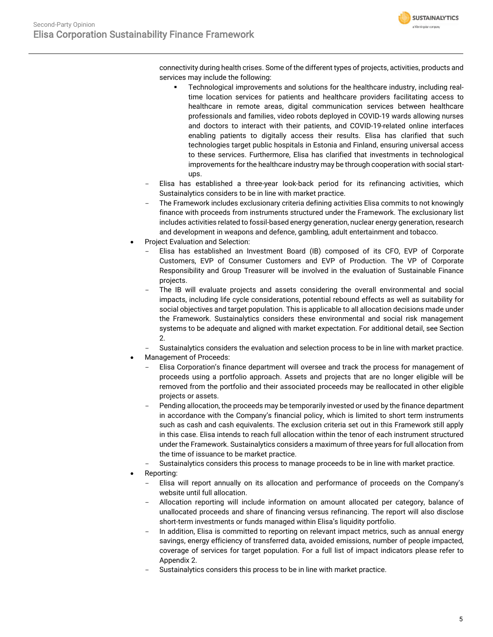

connectivity during health crises. Some of the different types of projects, activities, products and services may include the following:

- Technological improvements and solutions for the healthcare industry, including realtime location services for patients and healthcare providers facilitating access to healthcare in remote areas, digital communication services between healthcare professionals and families, video robots deployed in COVID-19 wards allowing nurses and doctors to interact with their patients, and COVID-19-related online interfaces enabling patients to digitally access their results. Elisa has clarified that such technologies target public hospitals in Estonia and Finland, ensuring universal access to these services. Furthermore, Elisa has clarified that investments in technological improvements for the healthcare industry may be through cooperation with social startups.
- Elisa has established a three-year look-back period for its refinancing activities, which Sustainalytics considers to be in line with market practice.
- The Framework includes exclusionary criteria defining activities Elisa commits to not knowingly finance with proceeds from instruments structured under the Framework. The exclusionary list includes activities related to fossil-based energy generation, nuclear energy generation, research and development in weapons and defence, gambling, adult entertainment and tobacco.
- Project Evaluation and Selection:
	- Elisa has established an Investment Board (IB) composed of its CFO, EVP of Corporate Customers, EVP of Consumer Customers and EVP of Production. The VP of Corporate Responsibility and Group Treasurer will be involved in the evaluation of Sustainable Finance projects.
	- The IB will evaluate projects and assets considering the overall environmental and social impacts, including life cycle considerations, potential rebound effects as well as suitability for social objectives and target population. This is applicable to all allocation decisions made under the Framework. Sustainalytics considers these environmental and social risk management systems to be adequate and aligned with market expectation. For additional detail, see Section 2.
	- Sustainalytics considers the evaluation and selection process to be in line with market practice.
- Management of Proceeds:
	- Elisa Corporation's finance department will oversee and track the process for management of proceeds using a portfolio approach. Assets and projects that are no longer eligible will be removed from the portfolio and their associated proceeds may be reallocated in other eligible projects or assets.
	- Pending allocation, the proceeds may be temporarily invested or used by the finance department in accordance with the Company's financial policy, which is limited to short term instruments such as cash and cash equivalents. The exclusion criteria set out in this Framework still apply in this case. Elisa intends to reach full allocation within the tenor of each instrument structured under the Framework. Sustainalytics considers a maximum of three years for full allocation from the time of issuance to be market practice.
	- Sustainalytics considers this process to manage proceeds to be in line with market practice.
- Reporting:
	- Elisa will report annually on its allocation and performance of proceeds on the Company's website until full allocation.
	- Allocation reporting will include information on amount allocated per category, balance of unallocated proceeds and share of financing versus refinancing. The report will also disclose short-term investments or funds managed within Elisa's liquidity portfolio.
	- In addition, Elisa is committed to reporting on relevant impact metrics, such as annual energy savings, energy efficiency of transferred data, avoided emissions, number of people impacted, coverage of services for target population. For a full list of impact indicators please refer to Appendix 2.
	- Sustainalytics considers this process to be in line with market practice.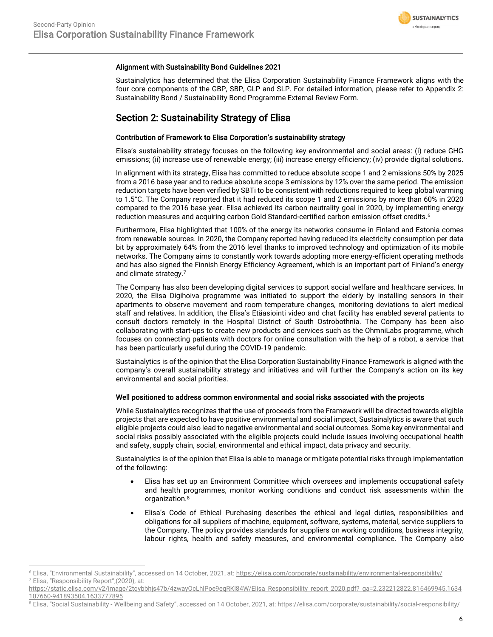

#### Alignment with Sustainability Bond Guidelines 2021

Sustainalytics has determined that the Elisa Corporation Sustainability Finance Framework aligns with the four core components of the GBP, SBP, GLP and SLP. For detailed information, please refer to Appendix 2: Sustainability Bond / Sustainability Bond Programme External Review Form.

#### Section 2: Sustainability Strategy of Elisa

#### Contribution of Framework to Elisa Corporation's sustainability strategy

Elisa's sustainability strategy focuses on the following key environmental and social areas: (i) reduce GHG emissions; (ii) increase use of renewable energy; (iii) increase energy efficiency; (iv) provide digital solutions.

In alignment with its strategy, Elisa has committed to reduce absolute scope 1 and 2 emissions 50% by 2025 from a 2016 base year and to reduce absolute scope 3 emissions by 12% over the same period. The emission reduction targets have been verified by SBTi to be consistent with reductions required to keep global warming to 1.5°C. The Company reported that it had reduced its scope 1 and 2 emissions by more than 60% in 2020 compared to the 2016 base year. Elisa achieved its carbon neutrality goal in 2020, by implementing energy reduction measures and acquiring carbon Gold Standard-certified carbon emission offset credits.<sup>6</sup>

Furthermore, Elisa highlighted that 100% of the energy its networks consume in Finland and Estonia comes from renewable sources. In 2020, the Company reported having reduced its electricity consumption per data bit by approximately 64% from the 2016 level thanks to improved technology and optimization of its mobile networks. The Company aims to constantly work towards adopting more energy-efficient operating methods and has also signed the Finnish Energy Efficiency Agreement, which is an important part of Finland's energy and climate strategy.<sup>7</sup>

The Company has also been developing digital services to support social welfare and healthcare services. In 2020, the Elisa Digihoiva programme was initiated to support the elderly by installing sensors in their apartments to observe movement and room temperature changes, monitoring deviations to alert medical staff and relatives. In addition, the Elisa's Etäasiointi video and chat facility has enabled several patients to consult doctors remotely in the Hospital District of South Ostrobothnia. The Company has been also collaborating with start-ups to create new products and services such as the OhmniLabs programme, which focuses on connecting patients with doctors for online consultation with the help of a robot, a service that has been particularly useful during the COVID-19 pandemic.

Sustainalytics is of the opinion that the Elisa Corporation Sustainability Finance Framework is aligned with the company's overall sustainability strategy and initiatives and will further the Company's action on its key environmental and social priorities.

#### Well positioned to address common environmental and social risks associated with the projects

While Sustainalytics recognizes that the use of proceeds from the Framework will be directed towards eligible projects that are expected to have positive environmental and social impact, Sustainalytics is aware that such eligible projects could also lead to negative environmental and social outcomes. Some key environmental and social risks possibly associated with the eligible projects could include issues involving occupational health and safety, supply chain, social, environmental and ethical impact, data privacy and security.

Sustainalytics is of the opinion that Elisa is able to manage or mitigate potential risks through implementation of the following:

- Elisa has set up an Environment Committee which oversees and implements occupational safety and health programmes, monitor working conditions and conduct risk assessments within the organization.<sup>8</sup>
- Elisa's Code of Ethical Purchasing describes the ethical and legal duties, responsibilities and obligations for all suppliers of machine, equipment, software, systems, material, service suppliers to the Company. The policy provides standards for suppliers on working conditions, business integrity, labour rights, health and safety measures, and environmental compliance. The Company also

<sup>6</sup> Elisa, "Environmental Sustainability", accessed on 14 October, 2021, at: <https://elisa.com/corporate/sustainability/environmental-responsibility/> <sup>7</sup> Elisa, "Responsibility Report",(2020), at:

[https://static.elisa.com/v2/image/2tqybbhjs47b/4zwayOcLhlPoe9eqRKl84W/Elisa\\_Responsibility\\_report\\_2020.pdf?\\_ga=2.232212822.816469945.1634](https://static.elisa.com/v2/image/2tqybbhjs47b/4zwayOcLhlPoe9eqRKl84W/Elisa_Responsibility_report_2020.pdf?_ga=2.232212822.816469945.1634107660-941893504.1633777895) [107660-941893504.1633777895](https://static.elisa.com/v2/image/2tqybbhjs47b/4zwayOcLhlPoe9eqRKl84W/Elisa_Responsibility_report_2020.pdf?_ga=2.232212822.816469945.1634107660-941893504.1633777895)

<sup>&</sup>lt;sup>8</sup> Elisa, "Social Sustainability - Wellbeing and Safety", accessed on 14 October, 2021, at[: https://elisa.com/corporate/sustainability/social-responsibility/](https://elisa.com/corporate/sustainability/social-responsibility/)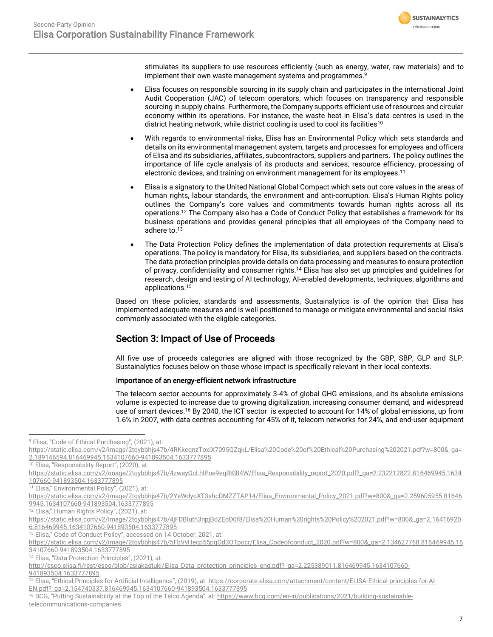

stimulates its suppliers to use resources efficiently (such as energy, water, raw materials) and to implement their own waste management systems and programmes.<sup>9</sup>

- Elisa focuses on responsible sourcing in its supply chain and participates in the international Joint Audit Cooperation (JAC) of telecom operators, which focuses on transparency and responsible sourcing in supply chains. Furthermore, the Company supports efficient use of resources and circular economy within its operations. For instance, the waste heat in Elisa's data centres is used in the district heating network, while district cooling is used to cool its facilities<sup>10</sup>
- With regards to environmental risks, Elisa has an Environmental Policy which sets standards and details on its environmental management system, targets and processes for employees and officers of Elisa and its subsidiaries, affiliates, subcontractors, suppliers and partners. The policy outlines the importance of life cycle analysis of its products and services, resource efficiency, processing of electronic devices, and training on environment management for its employees. 11
- Elisa is a signatory to the United National Global Compact which sets out core values in the areas of human rights, labour standards, the environment and anti-corruption. Elisa's Human Rights policy outlines the Company's core values and commitments towards human rights across all its operations.<sup>12</sup> The Company also has a Code of Conduct Policy that establishes a framework for its business operations and provides general principles that all employees of the Company need to adhere to.<sup>13</sup>
- The Data Protection Policy defines the implementation of data protection requirements at Elisa's operations. The policy is mandatory for Elisa, its subsidiaries, and suppliers based on the contracts. The data protection principles provide details on data processing and measures to ensure protection of privacy, confidentiality and consumer rights.<sup>14</sup> Elisa has also set up principles and guidelines for research, design and testing of AI technology, AI-enabled developments, techniques, algorithms and applications.<sup>15</sup>

Based on these policies, standards and assessments, Sustainalytics is of the opinion that Elisa has implemented adequate measures and is well positioned to manage or mitigate environmental and social risks commonly associated with the eligible categories.

### Section 3: Impact of Use of Proceeds

All five use of proceeds categories are aligned with those recognized by the GBP, SBP, GLP and SLP. Sustainalytics focuses below on those whose impact is specifically relevant in their local contexts.

#### Importance of an energy-efficient network infrastructure

The telecom sector accounts for approximately 3-4% of global GHG emissions, and its absolute emissions volume is expected to increase due to growing digitalization, increasing consumer demand, and widespread use of smart devices. <sup>16</sup> By 2040, the ICT sector is expected to account for 14% of global emissions, up from 1.6% in 2007, with data centres accounting for 45% of it, telecom networks for 24%, and end-user equipment

<sup>11</sup> Elisa," Environmental Policy", (2021), at:

<sup>12</sup> Elisa," Human Rights Policy", (2021), at:

<sup>13</sup> Elisa," Code of Conduct Policy", accessed on 14 October, 2021, at:

<sup>14</sup> Elisa, "Data Protection Principles", (2021), at:

<sup>&</sup>lt;sup>9</sup> Elisa, "Code of Ethical Purchasing", (2021), at:

[https://static.elisa.com/v2/image/2tqybbhjs47b/4RKkcqnzToxiX7095QZqkL/Elisa%20Code%20of%20Ethical%20Purchasing%202021.pdf?w=800&\\_ga=](https://static.elisa.com/v2/image/2tqybbhjs47b/4RKkcqnzToxiX7095QZqkL/Elisa%20Code%20of%20Ethical%20Purchasing%202021.pdf?w=800&_ga=2.189146594.816469945.1634107660-941893504.1633777895) [2.189146594.816469945.1634107660-941893504.1633777895](https://static.elisa.com/v2/image/2tqybbhjs47b/4RKkcqnzToxiX7095QZqkL/Elisa%20Code%20of%20Ethical%20Purchasing%202021.pdf?w=800&_ga=2.189146594.816469945.1634107660-941893504.1633777895)

<sup>&</sup>lt;sup>10</sup> Elisa, "Responsibility Report", (2020), at:

[https://static.elisa.com/v2/image/2tqybbhjs47b/4zwayOcLhlPoe9eqRKl84W/Elisa\\_Responsibility\\_report\\_2020.pdf?\\_ga=2.232212822.816469945.1634](https://static.elisa.com/v2/image/2tqybbhjs47b/4zwayOcLhlPoe9eqRKl84W/Elisa_Responsibility_report_2020.pdf?_ga=2.232212822.816469945.1634107660-941893504.1633777895) [107660-941893504.1633777895](https://static.elisa.com/v2/image/2tqybbhjs47b/4zwayOcLhlPoe9eqRKl84W/Elisa_Responsibility_report_2020.pdf?_ga=2.232212822.816469945.1634107660-941893504.1633777895)

[https://static.elisa.com/v2/image/2tqybbhjs47b/2YeWdyoXT3shcDMZZTAP14/Elisa\\_Environmental\\_Policy\\_2021.pdf?w=800&\\_ga=2.259605955.81646](https://static.elisa.com/v2/image/2tqybbhjs47b/2YeWdyoXT3shcDMZZTAP14/Elisa_Environmental_Policy_2021.pdf?w=800&_ga=2.259605955.816469945.1634107660-941893504.1633777895) [9945.1634107660-941893504.1633777895](https://static.elisa.com/v2/image/2tqybbhjs47b/2YeWdyoXT3shcDMZZTAP14/Elisa_Environmental_Policy_2021.pdf?w=800&_ga=2.259605955.816469945.1634107660-941893504.1633777895)

[https://static.elisa.com/v2/image/2tqybbhjs47b/4jFDBIuth3npjBdZEoD0f8/Elisa%20Human%20rights%20Policy%202021.pdf?w=800&\\_ga=2.16416920](https://static.elisa.com/v2/image/2tqybbhjs47b/4jFDBIuth3npjBdZEoD0f8/Elisa%20Human%20rights%20Policy%202021.pdf?w=800&_ga=2.164169206.816469945.1634107660-941893504.1633777895) [6.816469945.1634107660-941893504.1633777895](https://static.elisa.com/v2/image/2tqybbhjs47b/4jFDBIuth3npjBdZEoD0f8/Elisa%20Human%20rights%20Policy%202021.pdf?w=800&_ga=2.164169206.816469945.1634107660-941893504.1633777895)

[https://static.elisa.com/v2/image/2tqybbhjs47b/5FbVvHecp55pgOd3OTpocr/Elisa\\_Codeofconduct\\_2020.pdf?w=800&\\_ga=2.134627768.816469945.16](https://static.elisa.com/v2/image/2tqybbhjs47b/5FbVvHecp55pgOd3OTpocr/Elisa_Codeofconduct_2020.pdf?w=800&_ga=2.134627768.816469945.1634107660-941893504.1633777895) [34107660-941893504.1633777895](https://static.elisa.com/v2/image/2tqybbhjs47b/5FbVvHecp55pgOd3OTpocr/Elisa_Codeofconduct_2020.pdf?w=800&_ga=2.134627768.816469945.1634107660-941893504.1633777895)

[http://esco.elisa.fi/rest/esco/blob/asiakastuki/Elisa\\_Data\\_protection\\_principles\\_eng.pdf?\\_ga=2.225389011.816469945.1634107660-](http://esco.elisa.fi/rest/esco/blob/asiakastuki/Elisa_Data_protection_principles_eng.pdf?_ga=2.225389011.816469945.1634107660-941893504.1633777895)

[<sup>941893504.1633777895</sup>](http://esco.elisa.fi/rest/esco/blob/asiakastuki/Elisa_Data_protection_principles_eng.pdf?_ga=2.225389011.816469945.1634107660-941893504.1633777895)

<sup>15</sup> Elisa, "Ethical Principles for Artificial Intelligence", (2019), at: https://corporate.elisa.com/attachment/content/ELISA-Ethical-principles-for-Al-[EN.pdf?\\_ga=2.154740337.816469945.1634107660-941893504.1633777895](https://corporate.elisa.com/attachment/content/ELISA-Ethical-principles-for-AI-EN.pdf?_ga=2.154740337.816469945.1634107660-941893504.1633777895)

<sup>&</sup>lt;sup>16</sup> BCG, "Putting Sustainability at the Top of the Telco Agenda", at: [https://www.bcg.com/en-in/publications/2021/building-sustainable](https://www.bcg.com/en-in/publications/2021/building-sustainable-telecommunications-companies)[telecommunications-companies](https://www.bcg.com/en-in/publications/2021/building-sustainable-telecommunications-companies)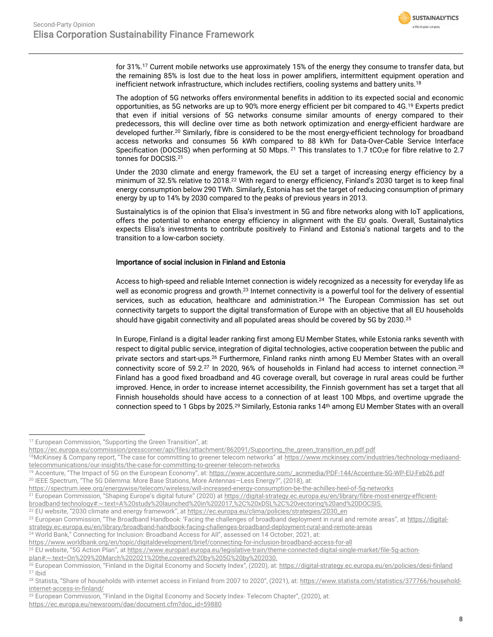<span id="page-7-0"></span>

for 31%.<sup>17</sup> Current mobile networks use approximately 15% of the energy they consume to transfer data, but the remaining 85% is lost due to the heat loss in power amplifiers, intermittent equipment operation and inefficient network infrastructure, which includes rectifiers, cooling systems and battery units.<sup>18</sup>

The adoption of 5G networks offers environmental benefits in addition to its expected social and economic opportunities, as 5G networks are up to 90% more energy efficient per bit compared to 4G.<sup>19</sup> Experts predict that even if initial versions of 5G networks consume similar amounts of energy compared to their predecessors, this will decline over time as both network optimization and energy-efficient hardware are developed further.<sup>20</sup> Similarly, fibre is considered to be the most energy-efficient technology for broadband access networks and consumes 56 kWh compared to 88 kWh for Data-Over-Cable Service Interface Specification (DOCSIS) when performing at 50 Mbps. <sup>21</sup> This translates to 1.7 tCO<sub>2</sub>e for fibre relative to 2.7 tonnes for DOCSIS.[21](#page-7-0)

Under the 2030 climate and energy framework, the EU set a target of increasing energy efficiency by a minimum of 32.5% relative to 2018.<sup>22</sup> With regard to energy efficiency, Finland's 2030 target is to keep final energy consumption below 290 TWh. Similarly, Estonia has set the target of reducing consumption of primary energy by up to 14% by 2030 compared to the peaks of previous years in 2013.

Sustainalytics is of the opinion that Elisa's investment in 5G and fibre networks along with IoT applications, offers the potential to enhance energy efficiency in alignment with the EU goals. Overall, Sustainalytics expects Elisa's investments to contribute positively to Finland and Estonia's national targets and to the transition to a low-carbon society.

#### Importance of social inclusion in Finland and Estonia

Access to high-speed and reliable Internet connection is widely recognized as a necessity for everyday life as well as economic progress and growth.<sup>23</sup> Internet connectivity is a powerful tool for the delivery of essential services, such as education, healthcare and administration.<sup>24</sup> The European Commission has set out connectivity targets to support the digital transformation of Europe with an objective that all EU households should have gigabit connectivity and all populated areas should be covered by 5G by 2030.<sup>25</sup>

In Europe, Finland is a digital leader ranking first among EU Member States, while Estonia ranks seventh with respect to digital public service, integration of digital technologies, active cooperation between the public and private sectors and start-ups.<sup>26</sup> Furthermore, Finland ranks ninth among EU Member States with an overall connectivity score of 59.2.<sup>27</sup> In 2020, 96% of households in Finland had access to internet connection.<sup>28</sup> Finland has a good fixed broadband and 4G coverage overall, but coverage in rural areas could be further improved. Hence, in order to increase internet accessibility, the Finnish government has set a target that all Finnish households should have access to a connection of at least 100 Mbps, and overtime upgrade the connection speed to 1 Gbps by 2025.<sup>29</sup> Similarly, Estonia ranks 14<sup>th</sup> among EU Member States with an overall

<sup>&</sup>lt;sup>17</sup> European Commission, "Supporting the Green Transition", at:

[https://ec.europa.eu/commission/presscorner/api/files/attachment/862091/Supporting\\_the\\_green\\_transition\\_en.pdf.pdf](https://ec.europa.eu/commission/presscorner/api/files/attachment/862091/Supporting_the_green_transition_en.pdf.pdf)

<sup>&</sup>lt;sup>18</sup>McKinsey & Company report, "The case for committing to greener telecom networks" at [https://www.mckinsey.com/industries/technology-mediaand](https://www.mckinsey.com/industries/technology-mediaand-telecommunications/our-insights/the-case-for-committing-to-greener-telecom-networks)[telecommunications/our-insights/the-case-for-committing-to-greener-telecom-networks](https://www.mckinsey.com/industries/technology-mediaand-telecommunications/our-insights/the-case-for-committing-to-greener-telecom-networks)

<sup>&</sup>lt;sup>19</sup> Accenture, "The Impact of 5G on the European Economy", at: [https://www.accenture.com/\\_acnmedia/PDF-144/Accenture-5G-WP-EU-Feb26.pdf](https://www.accenture.com/_acnmedia/PDF-144/Accenture-5G-WP-EU-Feb26.pdf) <sup>20</sup> IEEE Spectrum, "The 5G Dilemma: More Base Stations, More Antennas—Less Energy?", (2018), at:

<https://spectrum.ieee.org/energywise/telecom/wireless/will-increased-energy-consumption-be-the-achilles-heel-of-5g-networks>

<sup>&</sup>lt;sup>21</sup> European Commission, "Shaping Europe's digital future" (2020) at [https://digital-strategy.ec.europa.eu/en/library/fibre-most-energy-efficient-](https://digital-strategy.ec.europa.eu/en/library/fibre-most-energy-efficient-broadband-technology#:~:text=A%20study%20launched%20in%202017,%2C%20xDSL%2C%20vectoring%20and%20DOCSIS.)

[broadband-technology#:~:text=A%20study%20launched%20in%202017,%2C%20xDSL%2C%20vectoring%20and%20DOCSIS.](https://digital-strategy.ec.europa.eu/en/library/fibre-most-energy-efficient-broadband-technology#:~:text=A%20study%20launched%20in%202017,%2C%20xDSL%2C%20vectoring%20and%20DOCSIS.)

<sup>&</sup>lt;sup>22</sup> EU website, "2030 climate and energy framework", at [https://ec.europa.eu/clima/policies/strategies/2030\\_en](https://ec.europa.eu/clima/policies/strategies/2030_en)

<sup>&</sup>lt;sup>23</sup> European Commission, "The Broadband Handbook: 'Facing the challenges of broadband deployment in rural and remote areas", at [https://digital](https://digital-strategy.ec.europa.eu/en/library/broadband-handbook-facing-challenges-broadband-deployment-rural-and-remote-areas)[strategy.ec.europa.eu/en/library/broadband-handbook-facing-challenges-broadband-deployment-rural-and-remote-areas](https://digital-strategy.ec.europa.eu/en/library/broadband-handbook-facing-challenges-broadband-deployment-rural-and-remote-areas)

<sup>24</sup> World Bank," Connecting for Inclusion: Broadband Access for All", assessed on 14 October, 2021, at:

<https://www.worldbank.org/en/topic/digitaldevelopment/brief/connecting-for-inclusion-broadband-access-for-all>

<sup>&</sup>lt;sup>25</sup> EU website, "5G Action Plan", a[t https://www.europarl.europa.eu/legislative-train/theme-connected-digital-single-market/file-5g-action-](https://www.europarl.europa.eu/legislative-train/theme-connected-digital-single-market/file-5g-action-plan#:~:text=On%209%20March%202021%20the,covered%20by%205G%20by%202030.)

[plan#:~:text=On%209%20March%202021%20the,covered%20by%205G%20by%202030.](https://www.europarl.europa.eu/legislative-train/theme-connected-digital-single-market/file-5g-action-plan#:~:text=On%209%20March%202021%20the,covered%20by%205G%20by%202030.)

<sup>&</sup>lt;sup>26</sup> European Commission, "Finland in the Digital Economy and Society Index", (2020), at: <u><https://digital-strategy.ec.europa.eu/en/policies/desi-finland></u> <sup>27</sup> Ibid

<sup>&</sup>lt;sup>28</sup> Statista, "Share of households with internet access in Finland from 2007 to 2020", (2021), at: [https://www.statista.com/statistics/377766/household](https://www.statista.com/statistics/377766/household-internet-access-in-finland/)[internet-access-in-finland/](https://www.statista.com/statistics/377766/household-internet-access-in-finland/)

<sup>&</sup>lt;sup>29</sup> European Commission, "Finland in the Digital Economy and Society Index- Telecom Chapter", (2020), at: [https://ec.europa.eu/newsroom/dae/document.cfm?doc\\_id=59880](https://ec.europa.eu/newsroom/dae/document.cfm?doc_id=59880)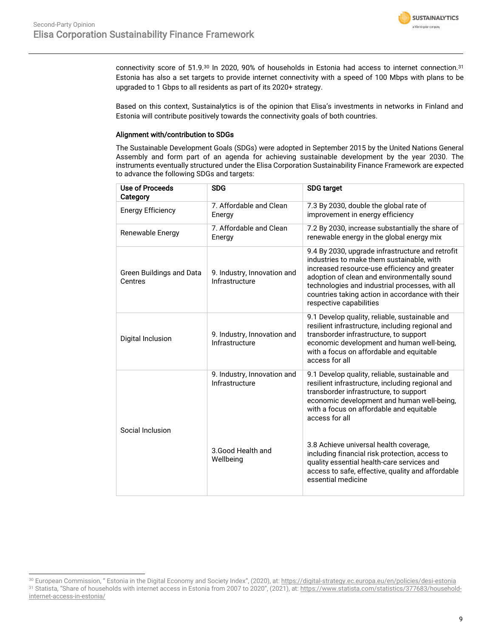

connectivity score of 51.9.<sup>30</sup> In 2020, 90% of households in Estonia had access to internet connection.<sup>31</sup> Estonia has also a set targets to provide internet connectivity with a speed of 100 Mbps with plans to be upgraded to 1 Gbps to all residents as part of its 2020+ strategy.

Based on this context, Sustainalytics is of the opinion that Elisa's investments in networks in Finland and Estonia will contribute positively towards the connectivity goals of both countries.

#### Alignment with/contribution to SDGs

The Sustainable Development Goals (SDGs) were adopted in September 2015 by the United Nations General Assembly and form part of an agenda for achieving sustainable development by the year 2030. The instruments eventually structured under the Elisa Corporation Sustainability Finance Framework are expected to advance the following SDGs and targets:

| <b>Use of Proceeds</b><br>Category  | <b>SDG</b>                                    | <b>SDG target</b>                                                                                                                                                                                                                                                                                                               |  |
|-------------------------------------|-----------------------------------------------|---------------------------------------------------------------------------------------------------------------------------------------------------------------------------------------------------------------------------------------------------------------------------------------------------------------------------------|--|
| <b>Energy Efficiency</b>            | 7. Affordable and Clean<br>Energy             | 7.3 By 2030, double the global rate of<br>improvement in energy efficiency                                                                                                                                                                                                                                                      |  |
| Renewable Energy                    | 7. Affordable and Clean<br>Energy             | 7.2 By 2030, increase substantially the share of<br>renewable energy in the global energy mix                                                                                                                                                                                                                                   |  |
| Green Buildings and Data<br>Centres | 9. Industry, Innovation and<br>Infrastructure | 9.4 By 2030, upgrade infrastructure and retrofit<br>industries to make them sustainable, with<br>increased resource-use efficiency and greater<br>adoption of clean and environmentally sound<br>technologies and industrial processes, with all<br>countries taking action in accordance with their<br>respective capabilities |  |
| Digital Inclusion                   | 9. Industry, Innovation and<br>Infrastructure | 9.1 Develop quality, reliable, sustainable and<br>resilient infrastructure, including regional and<br>transborder infrastructure, to support<br>economic development and human well-being,<br>with a focus on affordable and equitable<br>access for all                                                                        |  |
| Social Inclusion                    | 9. Industry, Innovation and<br>Infrastructure | 9.1 Develop quality, reliable, sustainable and<br>resilient infrastructure, including regional and<br>transborder infrastructure, to support<br>economic development and human well-being,<br>with a focus on affordable and equitable<br>access for all                                                                        |  |
|                                     | 3. Good Health and<br>Wellbeing               | 3.8 Achieve universal health coverage,<br>including financial risk protection, access to<br>quality essential health-care services and<br>access to safe, effective, quality and affordable<br>essential medicine                                                                                                               |  |

<sup>30</sup> European Commission, " Estonia in the Digital Economy and Society Index", (2020), at[: https://digital-strategy.ec.europa.eu/en/policies/desi-estonia](https://digital-strategy.ec.europa.eu/en/policies/desi-estonia) 31 Statista, "Share of households with internet access in Estonia from 2007 to 2020", (2021), at: [https://www.statista.com/statistics/377683/household](https://www.statista.com/statistics/377683/household-internet-access-in-estonia/)[internet-access-in-estonia/](https://www.statista.com/statistics/377683/household-internet-access-in-estonia/)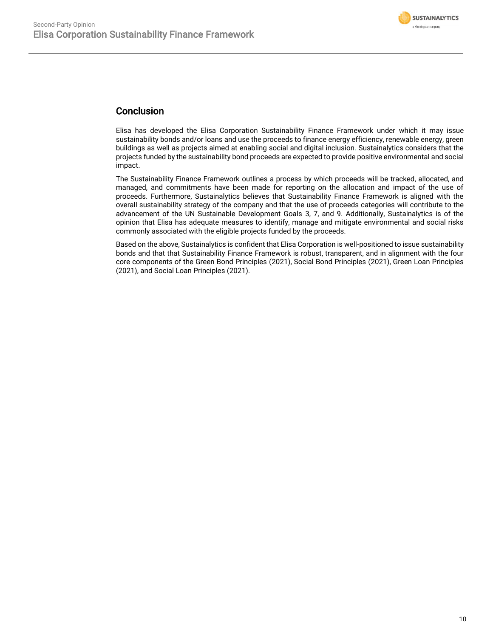

### Conclusion

Elisa has developed the Elisa Corporation Sustainability Finance Framework under which it may issue sustainability bonds and/or loans and use the proceeds to finance energy efficiency, renewable energy, green buildings as well as projects aimed at enabling social and digital inclusion. Sustainalytics considers that the projects funded by the sustainability bond proceeds are expected to provide positive environmental and social impact.

The Sustainability Finance Framework outlines a process by which proceeds will be tracked, allocated, and managed, and commitments have been made for reporting on the allocation and impact of the use of proceeds. Furthermore, Sustainalytics believes that Sustainability Finance Framework is aligned with the overall sustainability strategy of the company and that the use of proceeds categories will contribute to the advancement of the UN Sustainable Development Goals 3, 7, and 9. Additionally, Sustainalytics is of the opinion that Elisa has adequate measures to identify, manage and mitigate environmental and social risks commonly associated with the eligible projects funded by the proceeds.

Based on the above, Sustainalytics is confident that Elisa Corporation is well-positioned to issue sustainability bonds and that that Sustainability Finance Framework is robust, transparent, and in alignment with the four core components of the Green Bond Principles (2021), Social Bond Principles (2021), Green Loan Principles (2021), and Social Loan Principles (2021).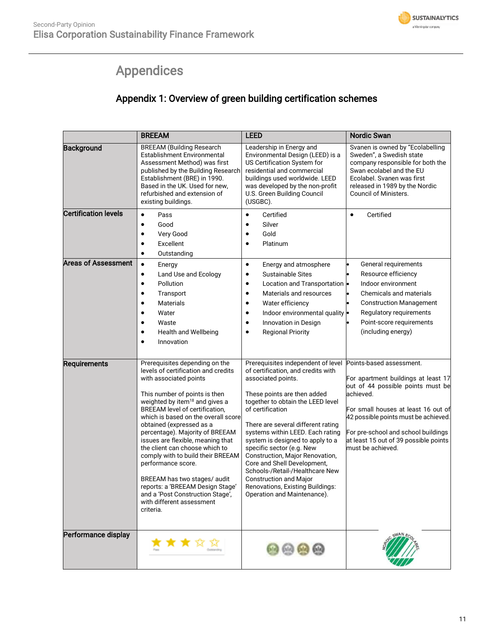# Appendices

### Appendix 1: Overview of green building certification schemes

<span id="page-10-0"></span>

|                             | <b>BREEAM</b>                                                                                                                                                                                                                                                                                                                                                                                                                                                                                                                                                                                              | <b>LEED</b>                                                                                                                                                                                                                                                                                                                                                                                                                                                                                                                                | <b>Nordic Swan</b>                                                                                                                                                                                                                                                                                    |
|-----------------------------|------------------------------------------------------------------------------------------------------------------------------------------------------------------------------------------------------------------------------------------------------------------------------------------------------------------------------------------------------------------------------------------------------------------------------------------------------------------------------------------------------------------------------------------------------------------------------------------------------------|--------------------------------------------------------------------------------------------------------------------------------------------------------------------------------------------------------------------------------------------------------------------------------------------------------------------------------------------------------------------------------------------------------------------------------------------------------------------------------------------------------------------------------------------|-------------------------------------------------------------------------------------------------------------------------------------------------------------------------------------------------------------------------------------------------------------------------------------------------------|
| <b>Background</b>           | <b>BREEAM (Building Research</b><br>Establishment Environmental<br>Assessment Method) was first<br>published by the Building Research<br>Establishment (BRE) in 1990.<br>Based in the UK. Used for new,<br>refurbished and extension of<br>existing buildings.                                                                                                                                                                                                                                                                                                                                             | Leadership in Energy and<br>Environmental Design (LEED) is a<br>US Certification System for<br>residential and commercial<br>buildings used worldwide. LEED<br>was developed by the non-profit<br>U.S. Green Building Council<br>(USGBC).                                                                                                                                                                                                                                                                                                  | Svanen is owned by "Ecolabelling<br>Sweden", a Swedish state<br>company responsible for both the<br>Swan ecolabel and the EU<br>Ecolabel, Svanen was first<br>released in 1989 by the Nordic<br>Council of Ministers.                                                                                 |
| <b>Certification levels</b> | Pass<br>$\bullet$<br>Good<br>$\bullet$<br>Very Good<br>Excellent<br>Outstanding<br>٠                                                                                                                                                                                                                                                                                                                                                                                                                                                                                                                       | Certified<br>$\bullet$<br>Silver<br>$\bullet$<br>Gold<br>$\bullet$<br>Platinum<br>$\bullet$                                                                                                                                                                                                                                                                                                                                                                                                                                                | Certified<br>$\bullet$                                                                                                                                                                                                                                                                                |
| <b>Areas of Assessment</b>  | $\bullet$<br>Energy<br>Land Use and Ecology<br>$\bullet$<br>Pollution<br>$\bullet$<br>Transport<br>$\bullet$<br><b>Materials</b><br>$\bullet$<br>Water<br>Waste<br><b>Health and Wellbeing</b><br>Innovation<br>٠                                                                                                                                                                                                                                                                                                                                                                                          | $\bullet$<br>Energy and atmosphere<br><b>Sustainable Sites</b><br>$\bullet$<br>Location and Transportation<br>$\bullet$<br>Materials and resources<br>$\bullet$<br>Water efficiency<br>$\bullet$<br>Indoor environmental quality<br>$\bullet$<br>Innovation in Design<br>$\bullet$<br><b>Regional Priority</b><br>$\bullet$                                                                                                                                                                                                                | General requirements<br>Resource efficiency<br>Indoor environment<br>Chemicals and materials<br><b>Construction Management</b><br>Regulatory requirements<br>Point-score requirements<br>(including energy)                                                                                           |
| Requirements                | Prerequisites depending on the<br>levels of certification and credits<br>with associated points<br>This number of points is then<br>weighted by item <sup>18</sup> and gives a<br>BREEAM level of certification,<br>which is based on the overall score<br>obtained (expressed as a<br>percentage). Majority of BREEAM<br>issues are flexible, meaning that<br>the client can choose which to<br>comply with to build their BREEAM<br>performance score.<br>BREEAM has two stages/ audit<br>reports: a 'BREEAM Design Stage'<br>and a 'Post Construction Stage',<br>with different assessment<br>criteria. | Prerequisites independent of level<br>of certification, and credits with<br>associated points.<br>These points are then added<br>together to obtain the LEED level<br>of certification<br>There are several different rating<br>systems within LEED. Each rating<br>system is designed to apply to a<br>specific sector (e.g. New<br>Construction, Major Renovation,<br>Core and Shell Development,<br>Schools-/Retail-/Healthcare New<br><b>Construction and Major</b><br>Renovations, Existing Buildings:<br>Operation and Maintenance). | Points-based assessment.<br>For apartment buildings at least 17<br>out of 44 possible points must be<br>achieved.<br>For small houses at least 16 out of<br>42 possible points must be achieved.<br>For pre-school and school buildings<br>at least 15 out of 39 possible points<br>must be achieved. |
| Performance display         |                                                                                                                                                                                                                                                                                                                                                                                                                                                                                                                                                                                                            |                                                                                                                                                                                                                                                                                                                                                                                                                                                                                                                                            | SWAN                                                                                                                                                                                                                                                                                                  |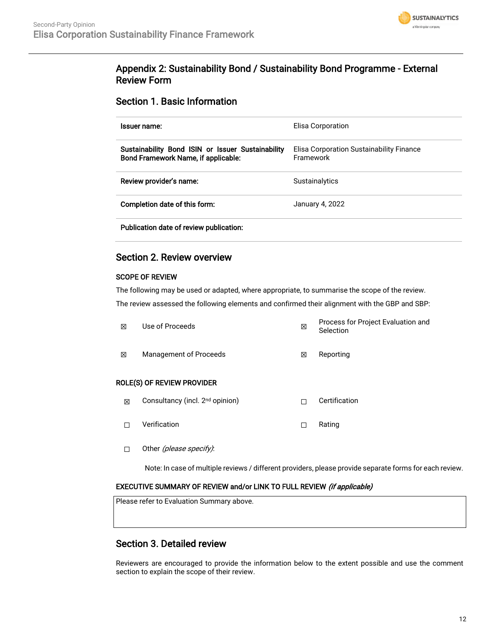

### Appendix 2: Sustainability Bond / Sustainability Bond Programme - External Review Form

#### Section 1. Basic Information

| Issuer name:                                                                                                    | Elisa Corporation                                     |
|-----------------------------------------------------------------------------------------------------------------|-------------------------------------------------------|
| Sustainability Bond ISIN or Issuer Sustainability<br>Bond Framework Name, if applicable:                        | Elisa Corporation Sustainability Finance<br>Framework |
| Review provider's name:                                                                                         | <b>Sustainalytics</b>                                 |
| Completion date of this form:                                                                                   | January 4, 2022                                       |
| the contract of the contract of the contract of the contract of the contract of the contract of the contract of |                                                       |

Publication date of review publication:

#### Section 2. Review overview

#### SCOPE OF REVIEW

The following may be used or adapted, where appropriate, to summarise the scope of the review. The review assessed the following elements and confirmed their alignment with the GBP and SBP:

| 冈 | Use of Proceeds            | × | Process for Project Evaluation and<br>Selection |
|---|----------------------------|---|-------------------------------------------------|
| 冈 | Management of Proceeds     | X | Reporting                                       |
|   | ROLE(S) OF REVIEW PROVIDER |   |                                                 |

- ⊠ Consultancy (incl. 2<sup>nd</sup> opinion) □ □ Certification
- ☐ Verification ☐ Rating
- □ Other (please specify):

Note: In case of multiple reviews / different providers, please provide separate forms for each review.

#### EXECUTIVE SUMMARY OF REVIEW and/or LINK TO FULL REVIEW (if applicable)

Please refer to Evaluation Summary above.

### Section 3. Detailed review

Reviewers are encouraged to provide the information below to the extent possible and use the comment section to explain the scope of their review.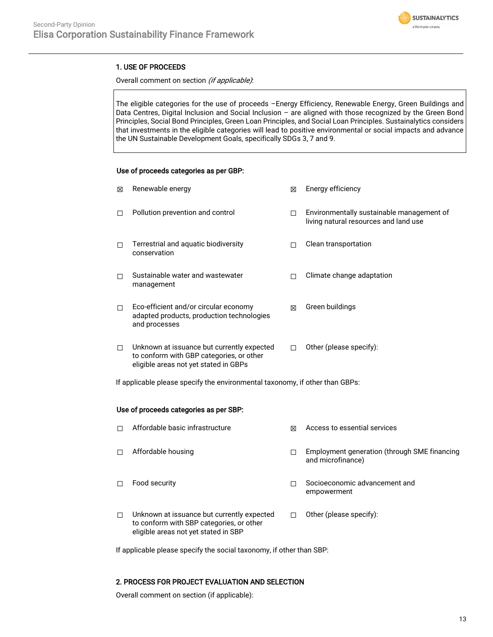

#### 1. USE OF PROCEEDS

#### Overall comment on section (if applicable):

The eligible categories for the use of proceeds –Energy Efficiency, Renewable Energy, Green Buildings and Data Centres, Digital Inclusion and Social Inclusion – are aligned with those recognized by the Green Bond Principles, Social Bond Principles, Green Loan Principles, and Social Loan Principles. Sustainalytics considers that investments in the eligible categories will lead to positive environmental or social impacts and advance the UN Sustainable Development Goals, specifically SDGs 3, 7 and 9.

#### Use of proceeds categories as per GBP:

| M      | Renewable energy                                                                                                                | ⊠ | Energy efficiency                                                                  |
|--------|---------------------------------------------------------------------------------------------------------------------------------|---|------------------------------------------------------------------------------------|
| П      | Pollution prevention and control                                                                                                |   | Environmentally sustainable management of<br>living natural resources and land use |
| П      | Terrestrial and aquatic biodiversity<br>conservation                                                                            |   | Clean transportation                                                               |
| П      | Sustainable water and wastewater<br>management                                                                                  |   | Climate change adaptation                                                          |
| П      | Eco-efficient and/or circular economy<br>adapted products, production technologies<br>and processes                             | ⊠ | Green buildings                                                                    |
| $\Box$ | Unknown at issuance but currently expected<br>to conform with GBP categories, or other<br>eligible areas not yet stated in GBPs |   | Other (please specify):                                                            |

If applicable please specify the environmental taxonomy, if other than GBPs:

#### Use of proceeds categories as per SBP:

| п | Affordable basic infrastructure                                                                                                | ⊠ | Access to essential services                                      |
|---|--------------------------------------------------------------------------------------------------------------------------------|---|-------------------------------------------------------------------|
| п | Affordable housing                                                                                                             |   | Employment generation (through SME financing<br>and microfinance) |
| п | Food security                                                                                                                  |   | Socioeconomic advancement and<br>empowerment                      |
| П | Unknown at issuance but currently expected<br>to conform with SBP categories, or other<br>eligible areas not yet stated in SBP |   | Other (please specify):                                           |

If applicable please specify the social taxonomy, if other than SBP:

#### 2. PROCESS FOR PROJECT EVALUATION AND SELECTION

Overall comment on section (if applicable):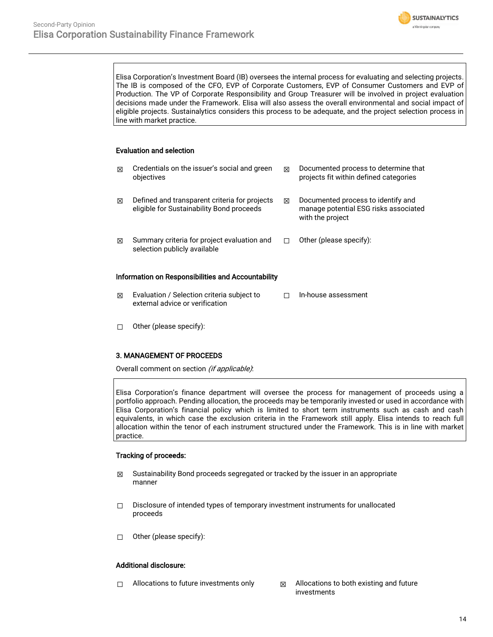

Elisa Corporation's Investment Board (IB) oversees the internal process for evaluating and selecting projects. The IB is composed of the CFO, EVP of Corporate Customers, EVP of Consumer Customers and EVP of Production. The VP of Corporate Responsibility and Group Treasurer will be involved in project evaluation decisions made under the Framework. Elisa will also assess the overall environmental and social impact of eligible projects. Sustainalytics considers this process to be adequate, and the project selection process in line with market practice.

#### Evaluation and selection

| ⊠                                                  | Credentials on the issuer's social and green<br>objectives                                 | ⊠ | Documented process to determine that<br>projects fit within defined categories                  |  |  |
|----------------------------------------------------|--------------------------------------------------------------------------------------------|---|-------------------------------------------------------------------------------------------------|--|--|
| ⊠                                                  | Defined and transparent criteria for projects<br>eligible for Sustainability Bond proceeds | ⊠ | Documented process to identify and<br>manage potential ESG risks associated<br>with the project |  |  |
| ⊠                                                  | Summary criteria for project evaluation and<br>selection publicly available                |   | Other (please specify):                                                                         |  |  |
| Information on Responsibilities and Accountability |                                                                                            |   |                                                                                                 |  |  |

- ☒ Evaluation / Selection criteria subject to external advice or verification ☐ In-house assessment
- ☐ Other (please specify):

#### 3. MANAGEMENT OF PROCEEDS

Overall comment on section *(if applicable)*:

Elisa Corporation's finance department will oversee the process for management of proceeds using a portfolio approach. Pending allocation, the proceeds may be temporarily invested or used in accordance with Elisa Corporation's financial policy which is limited to short term instruments such as cash and cash equivalents, in which case the exclusion criteria in the Framework still apply. Elisa intends to reach full allocation within the tenor of each instrument structured under the Framework. This is in line with market practice.

#### Tracking of proceeds:

- $\boxtimes$  Sustainability Bond proceeds segregated or tracked by the issuer in an appropriate manner
- ☐ Disclosure of intended types of temporary investment instruments for unallocated proceeds
- ☐ Other (please specify):

#### Additional disclosure:

- $\Box$  Allocations to future investments only  $\boxtimes$  Allocations to both existing and future
	- investments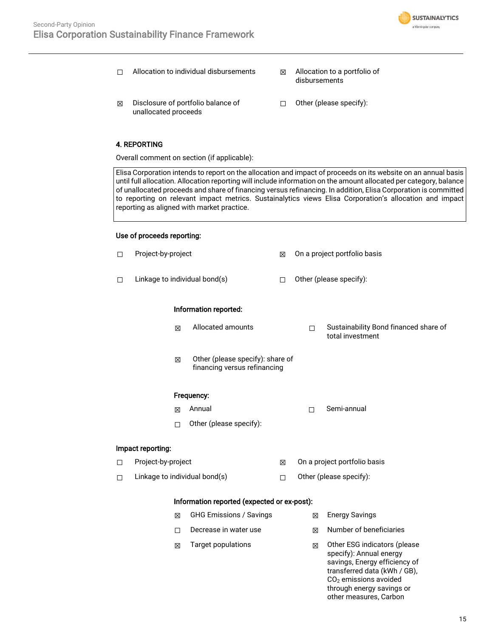

- ☐ Allocation to individual disbursements ☒ Allocation to a portfolio of
	- disbursements
- ☒ Disclosure of portfolio balance of unallocated proceeds
- ☐ Other (please specify):

#### 4. REPORTING

Overall comment on section (if applicable):

Elisa Corporation intends to report on the allocation and impact of proceeds on its website on an annual basis until full allocation. Allocation reporting will include information on the amount allocated per category, balance of unallocated proceeds and share of financing versus refinancing. In addition, Elisa Corporation is committed to reporting on relevant impact metrics. Sustainalytics views Elisa Corporation's allocation and impact reporting as aligned with market practice.

#### Use of proceeds reporting:

| □                                  | Project-by-project                          |                                                                  | ⊠ |                         | On a project portfolio basis                                                                                                                                                               |
|------------------------------------|---------------------------------------------|------------------------------------------------------------------|---|-------------------------|--------------------------------------------------------------------------------------------------------------------------------------------------------------------------------------------|
| □                                  | Linkage to individual bond(s)               |                                                                  | П |                         | Other (please specify):                                                                                                                                                                    |
|                                    |                                             | Information reported:                                            |   |                         |                                                                                                                                                                                            |
|                                    | 図                                           | Allocated amounts                                                |   | □                       | Sustainability Bond financed share of<br>total investment                                                                                                                                  |
|                                    | X                                           | Other (please specify): share of<br>financing versus refinancing |   |                         |                                                                                                                                                                                            |
|                                    |                                             | Frequency:                                                       |   |                         |                                                                                                                                                                                            |
|                                    | 冈                                           | Annual                                                           |   | П                       | Semi-annual                                                                                                                                                                                |
|                                    | п                                           | Other (please specify):                                          |   |                         |                                                                                                                                                                                            |
|                                    | Impact reporting:                           |                                                                  |   |                         |                                                                                                                                                                                            |
| $\Box$                             | Project-by-project                          |                                                                  | X |                         | On a project portfolio basis                                                                                                                                                               |
| Linkage to individual bond(s)<br>□ |                                             | П                                                                |   | Other (please specify): |                                                                                                                                                                                            |
|                                    | Information reported (expected or ex-post): |                                                                  |   |                         |                                                                                                                                                                                            |
|                                    | X                                           | <b>GHG Emissions / Savings</b>                                   |   | ⊠                       | <b>Energy Savings</b>                                                                                                                                                                      |
|                                    | п                                           | Decrease in water use                                            |   | 冈                       | Number of beneficiaries                                                                                                                                                                    |
|                                    | ⊠                                           | <b>Target populations</b>                                        |   | ⊠                       | Other ESG indicators (please<br>specify): Annual energy<br>savings, Energy efficiency of<br>transferred data (kWh / GB),<br>CO <sub>2</sub> emissions avoided<br>through energy savings or |

other measures, Carbon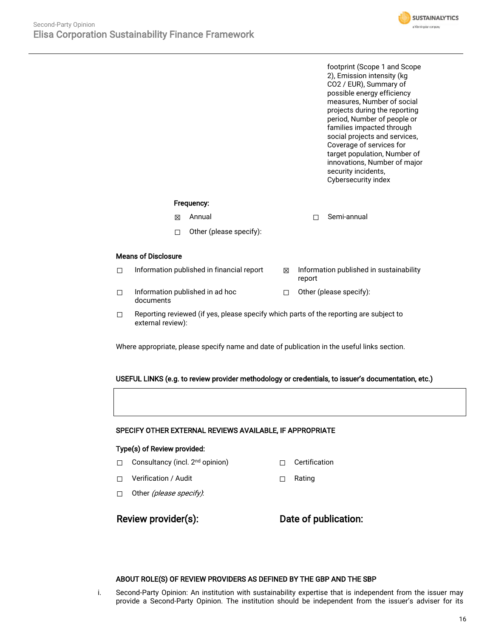footprint (Scope 1 and Scope 2), Emission intensity (kg CO2 / EUR), Summary of possible energy efficiency measures, Number of social projects during the reporting period, Number of people or families impacted through social projects and services, Coverage of services for target population, Number of innovations, Number of major security incidents, Cybersecurity index

**SUSTAINALYTICS** a Morninostar company

#### Frequency:

- **<del><b>I**</u></u> Annual II Consultant Consultant Consultant Consultant Consultant Consultant Consultant Consultant Consultant Consultant Consultant Consultant Consultant Consultant Consultant Consultant Consultant Consultant Consu</del>
- ☐ Other (please specify):

#### Means of Disclosure

- $\Box$  Information published in financial report  $\boxtimes$  Information published in sustainability
- ☐ Information published in ad hoc documents ☐ Other (please specify):
- $\Box$  Reporting reviewed (if yes, please specify which parts of the reporting are subject to external review):

Where appropriate, please specify name and date of publication in the useful links section.

#### USEFUL LINKS (e.g. to review provider methodology or credentials, to issuer's documentation, etc.)

#### SPECIFY OTHER EXTERNAL REVIEWS AVAILABLE, IF APPROPRIATE

#### Type(s) of Review provided:

- □ Consultancy (incl. 2<sup>nd</sup> opinion) □ Certification
- ☐ Verification / Audit ☐ Rating
- □ Other (*please specify)*:

report

Review provider(s): Date of publication:

#### ABOUT ROLE(S) OF REVIEW PROVIDERS AS DEFINED BY THE GBP AND THE SBP

i. Second-Party Opinion: An institution with sustainability expertise that is independent from the issuer may provide a Second-Party Opinion. The institution should be independent from the issuer's adviser for its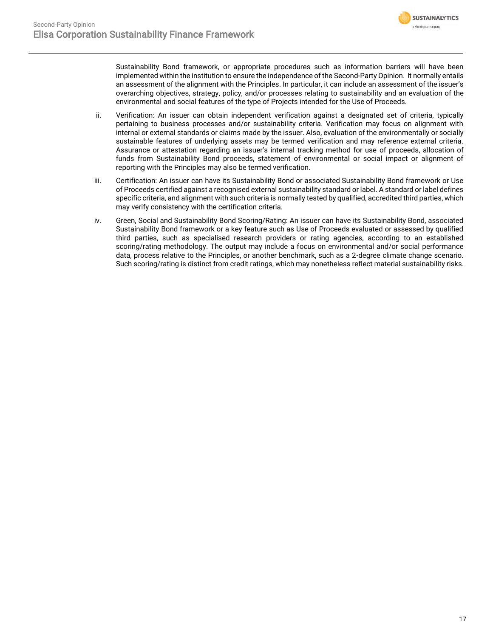

Sustainability Bond framework, or appropriate procedures such as information barriers will have been implemented within the institution to ensure the independence of the Second-Party Opinion. It normally entails an assessment of the alignment with the Principles. In particular, it can include an assessment of the issuer's overarching objectives, strategy, policy, and/or processes relating to sustainability and an evaluation of the environmental and social features of the type of Projects intended for the Use of Proceeds.

- ii. Verification: An issuer can obtain independent verification against a designated set of criteria, typically pertaining to business processes and/or sustainability criteria. Verification may focus on alignment with internal or external standards or claims made by the issuer. Also, evaluation of the environmentally or socially sustainable features of underlying assets may be termed verification and may reference external criteria. Assurance or attestation regarding an issuer's internal tracking method for use of proceeds, allocation of funds from Sustainability Bond proceeds, statement of environmental or social impact or alignment of reporting with the Principles may also be termed verification.
- iii. Certification: An issuer can have its Sustainability Bond or associated Sustainability Bond framework or Use of Proceeds certified against a recognised external sustainability standard or label. A standard or label defines specific criteria, and alignment with such criteria is normally tested by qualified, accredited third parties, which may verify consistency with the certification criteria.
- iv. Green, Social and Sustainability Bond Scoring/Rating: An issuer can have its Sustainability Bond, associated Sustainability Bond framework or a key feature such as Use of Proceeds evaluated or assessed by qualified third parties, such as specialised research providers or rating agencies, according to an established scoring/rating methodology. The output may include a focus on environmental and/or social performance data, process relative to the Principles, or another benchmark, such as a 2-degree climate change scenario. Such scoring/rating is distinct from credit ratings, which may nonetheless reflect material sustainability risks.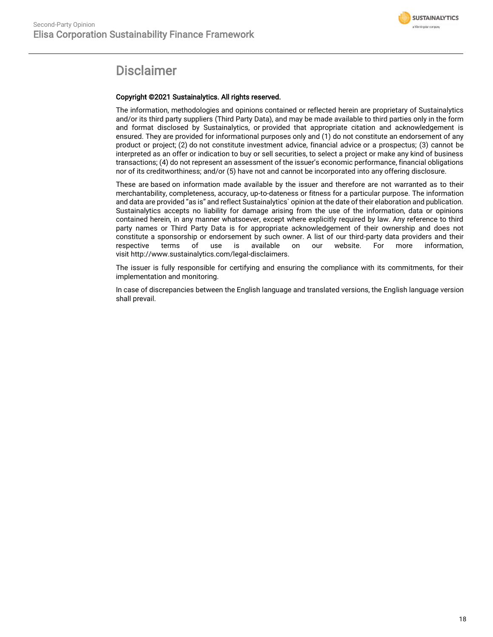

## **Disclaimer**

#### Copyright ©2021 Sustainalytics. All rights reserved.

The information, methodologies and opinions contained or reflected herein are proprietary of Sustainalytics and/or its third party suppliers (Third Party Data), and may be made available to third parties only in the form and format disclosed by Sustainalytics, or provided that appropriate citation and acknowledgement is ensured. They are provided for informational purposes only and (1) do not constitute an endorsement of any product or project; (2) do not constitute investment advice, financial advice or a prospectus; (3) cannot be interpreted as an offer or indication to buy or sell securities, to select a project or make any kind of business transactions; (4) do not represent an assessment of the issuer's economic performance, financial obligations nor of its creditworthiness; and/or (5) have not and cannot be incorporated into any offering disclosure.

These are based on information made available by the issuer and therefore are not warranted as to their merchantability, completeness, accuracy, up-to-dateness or fitness for a particular purpose. The information and data are provided "as is" and reflect Sustainalytics` opinion at the date of their elaboration and publication. Sustainalytics accepts no liability for damage arising from the use of the information, data or opinions contained herein, in any manner whatsoever, except where explicitly required by law. Any reference to third party names or Third Party Data is for appropriate acknowledgement of their ownership and does not constitute a sponsorship or endorsement by such owner. A list of our third-party data providers and their respective terms of use is available on our website. For more information, visit http://www.sustainalytics.com/legal-disclaimers.

The issuer is fully responsible for certifying and ensuring the compliance with its commitments, for their implementation and monitoring.

In case of discrepancies between the English language and translated versions, the English language version shall prevail.